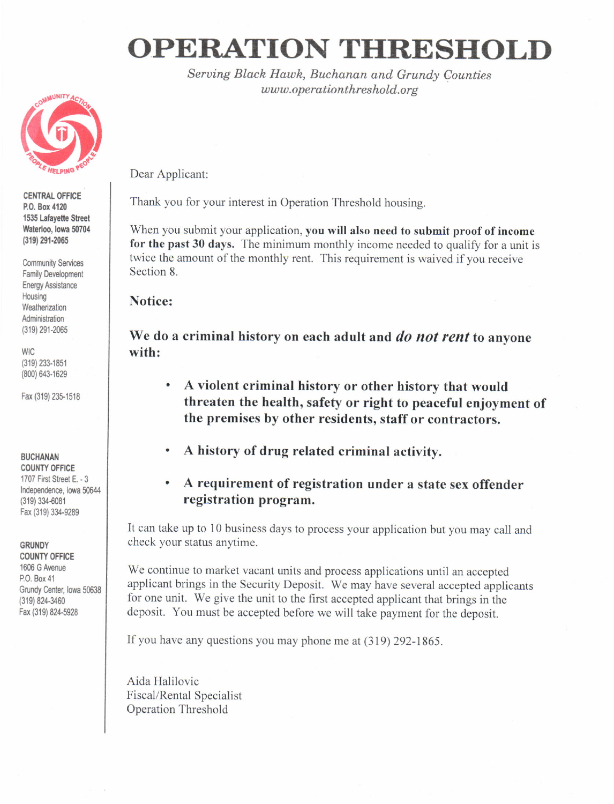# OPERATION THRESHOLD

Seruing Black Hawh, Buchanan and Grundy Counties www.operationthreshold.org



CENTRAL OFFICE P.O. Box 4120 1535 Lafayette Street Waterloo, lowa 50704 (319) 291-2065

**Community Services** Family Development Energy Assistance Housing Weatherization Administration {319)291.2065

**WIC** (319)233.1851 (800) 643-1629

Fax (319) 235-1518

## **BUCHANAN**

**COUNTY OFFICE** 1707 First Street E. - 3 Independence, lowa 50644 (319)334.6081 Fax (319) 334-9289

#### GRUNDY

**COUNTY OFFICE** 1606 G Avenue P.O. Box 41 Grundy Center, lowa 50638 (319)824-3460 Fax (319) 824-5928

Dear Applicant:

Thank you for your interest in Operation Threshold housing.

When you submit your application, you will also need to submit proof of income for the past 30 days. The minimum monthly income needed to qualify for a unit is twice the amount of the monthly rent. This requirement is waived if you receive Section 8.

# Notice:

We do a criminal history on each adult and *do not rent* to anyone with:

- . A violent criminal history or other history that would threaten the health, safety or right to peaceful enjoyment of the premises by other residents, staff or contractors.
- . A history of drug related criminal activity.
- . A requirement of registration under a state sex offender registration program.

It can take up to l0 business days to process your application but you may call and check your status anytime.

We continue to market vacant units and process applications until an accepted applicant brings in the Security Deposit. We may have several accepted applicants for one unit. We give the unit to the first accepted applicant that brings in the deposit. You must be accepted before we will take payment for the deposit.

If you have any questions you may phone me at (319) 292-1865.

Aida Halilovic Fiscal/Rental Specialist Operation Threshold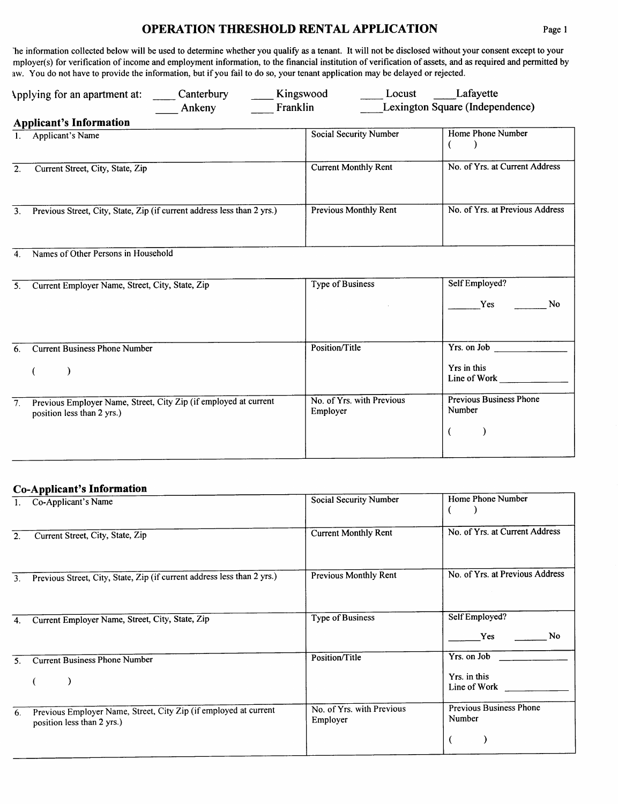# **OPERATION THRESHOLD RENTAL APPLICATION**

The information collected below will be used to determine whether you qualify as a tenant. It will not be disclosed without your consent except to your mployer(s) for verification of income and employment information, to the financial institution of verification of assets, and as required and permitted by aw. You do not have to provide the information, but if you fail to do so, your tenant application may be delayed or rejected.

| Canterbury<br>Applying for an apartment at:<br>Ankeny                                                              | Kingswood<br>Locust<br>Franklin       | Lafayette<br>Lexington Square (Independence)                         |
|--------------------------------------------------------------------------------------------------------------------|---------------------------------------|----------------------------------------------------------------------|
| <b>Applicant's Information</b>                                                                                     |                                       |                                                                      |
| 1. Applicant's Name                                                                                                | <b>Social Security Number</b>         | Home Phone Number<br>€                                               |
| Current Street, City, State, Zip<br>2.                                                                             | <b>Current Monthly Rent</b>           | No. of Yrs. at Current Address                                       |
| Previous Street, City, State, Zip (if current address less than 2 yrs.)<br>3 <sub>1</sub>                          | Previous Monthly Rent                 | No. of Yrs. at Previous Address                                      |
| Names of Other Persons in Household<br>$\overline{4}$ .                                                            |                                       |                                                                      |
| Current Employer Name, Street, City, State, Zip<br>5.                                                              | <b>Type of Business</b>               | Self Employed?<br>Yes<br><b>No</b>                                   |
| <b>Current Business Phone Number</b><br>6.                                                                         | Position/Title                        | Yrs. on Job<br>Yrs in this<br>Line of Work                           |
| Previous Employer Name, Street, City Zip (if employed at current<br>$\overline{7}$ .<br>position less than 2 yrs.) | No. of Yrs. with Previous<br>Employer | <b>Previous Business Phone</b><br>Number<br>$\overline{\mathcal{L}}$ |

#### **Co-Applicant's Information**

|                | Co-Applicant's Name                                                                            | Social Security Number                | Home Phone Number                           |
|----------------|------------------------------------------------------------------------------------------------|---------------------------------------|---------------------------------------------|
| 2.             | Current Street, City, State, Zip                                                               | <b>Current Monthly Rent</b>           | No. of Yrs. at Current Address              |
| 3 <sub>1</sub> | Previous Street, City, State, Zip (if current address less than 2 yrs.)                        | Previous Monthly Rent                 | No. of Yrs. at Previous Address             |
| 4.             | Current Employer Name, Street, City, State, Zip                                                | <b>Type of Business</b>               | Self Employed?<br>No.<br>Yes                |
| 5.             | <b>Current Business Phone Number</b>                                                           | Position/Title                        | Yrs. on Job<br>Yrs. in this<br>Line of Work |
| 6.             | Previous Employer Name, Street, City Zip (if employed at current<br>position less than 2 yrs.) | No. of Yrs. with Previous<br>Employer | <b>Previous Business Phone</b><br>Number    |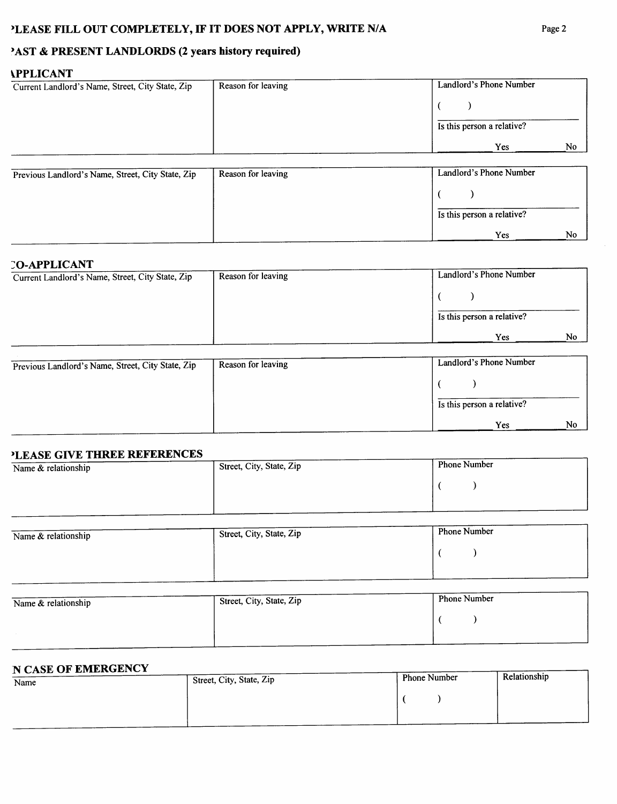# **PAST & PRESENT LANDLORDS (2 years history required)**

## **APPLICANT**

| Landlord's Phone Number<br>Reason for leaving |
|-----------------------------------------------|
|                                               |
| Is this person a relative?                    |
| No<br>Yes.                                    |
|                                               |

| Previous Landlord's Name, Street, City State, Zip | Reason for leaving | Landlord's Phone Number    |    |
|---------------------------------------------------|--------------------|----------------------------|----|
|                                                   |                    |                            |    |
|                                                   |                    | Is this person a relative? |    |
|                                                   |                    | Yes                        | No |

### **CO-APPLICANT**

| Current Landlord's Name, Street, City State, Zip | Reason for leaving | Landlord's Phone Number    |
|--------------------------------------------------|--------------------|----------------------------|
|                                                  |                    |                            |
|                                                  |                    | Is this person a relative? |
|                                                  |                    | No<br><b>Yes</b>           |

| Previous Landlord's Name, Street, City State, Zip | Reason for leaving | Landlord's Phone Number    |    |
|---------------------------------------------------|--------------------|----------------------------|----|
|                                                   |                    |                            |    |
|                                                   |                    | Is this person a relative? |    |
|                                                   |                    | Yes                        | N0 |

## **HEASE CIVE THREE REFERENCES**

| LEASE GIVE HIKEE KEI EKEROLD |                          |                     |
|------------------------------|--------------------------|---------------------|
| Name & relationship          | Street, City, State, Zip | <b>Phone Number</b> |
|                              |                          |                     |
|                              |                          |                     |
|                              |                          |                     |
|                              |                          |                     |
|                              |                          |                     |
|                              |                          |                     |

| Name & relationship | Street, City, State, Zip | <b>Phone Number</b> |
|---------------------|--------------------------|---------------------|
|                     |                          |                     |
|                     |                          |                     |

| Name $&$ relationship | Street, City, State, Zip | <b>Phone Number</b> |
|-----------------------|--------------------------|---------------------|
|                       |                          |                     |
|                       |                          |                     |

#### **N CASE OF EMERGENCY**

| Name | Street, City, State, Zip | Phone Number | Relationship |
|------|--------------------------|--------------|--------------|
|      |                          |              |              |
|      |                          |              |              |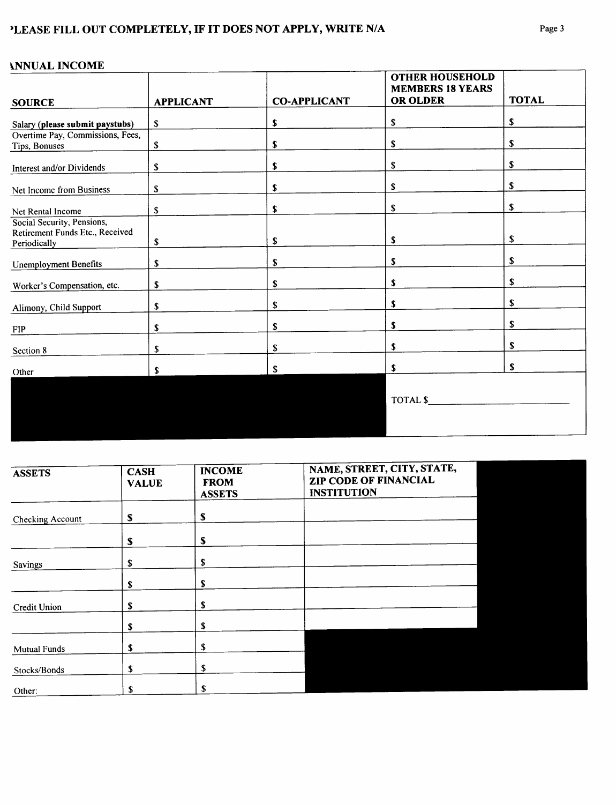# 'LEASE FILL OUT COMPLETELY, IF IT DOES NOT APPLY, WRITE N/A

| 1111011111100 <del>1111</del><br><b>SOURCE</b>                                | <b>APPLICANT</b> | <b>CO-APPLICANT</b> | <b>OTHER HOUSEHOLD</b><br><b>MEMBERS 18 YEARS</b><br><b>OR OLDER</b> | <b>TOTAL</b> |
|-------------------------------------------------------------------------------|------------------|---------------------|----------------------------------------------------------------------|--------------|
|                                                                               |                  |                     | \$                                                                   | \$           |
| Salary (please submit paystubs)                                               | $\mathbf{s}$     | \$                  |                                                                      |              |
| Overtime Pay, Commissions, Fees,<br>Tips, Bonuses                             | \$               | \$                  | \$                                                                   | S            |
| Interest and/or Dividends                                                     | \$               | \$                  | \$                                                                   | S            |
| Net Income from Business                                                      | \$               | \$                  | \$                                                                   | \$           |
| Net Rental Income                                                             | \$               | \$                  | S                                                                    | \$           |
| Social Security, Pensions,<br>Retirement Funds Etc., Received<br>Periodically | \$               | \$                  | \$                                                                   | \$           |
| <b>Unemployment Benefits</b>                                                  | \$               | \$                  | \$                                                                   | \$           |
| Worker's Compensation, etc.                                                   | \$               | \$                  | \$                                                                   | S            |
| Alimony, Child Support                                                        | S                | \$                  | \$                                                                   | S            |
| ${\rm FIP}$                                                                   | S                | \$                  | \$                                                                   | \$           |
| Section 8                                                                     | \$               | \$                  | \$                                                                   | \$           |
| Other                                                                         | S                | S                   | \$                                                                   | \$           |
|                                                                               |                  |                     | TOTAL \$                                                             |              |

| <b>ASSETS</b>       | <b>CASH</b><br><b>VALUE</b> | <b>INCOME</b><br><b>FROM</b><br><b>ASSETS</b> | NAME, STREET, CITY, STATE,<br>ZIP CODE OF FINANCIAL<br><b>INSTITUTION</b> |
|---------------------|-----------------------------|-----------------------------------------------|---------------------------------------------------------------------------|
| Checking Account    | S                           | \$                                            |                                                                           |
|                     | S                           | \$                                            |                                                                           |
| Savings             | S                           | \$                                            |                                                                           |
|                     | \$                          | \$                                            |                                                                           |
| Credit Union        | S                           | S                                             |                                                                           |
|                     | S                           | \$                                            |                                                                           |
| <b>Mutual Funds</b> | ъ                           | \$                                            |                                                                           |
| Stocks/Bonds        |                             | \$                                            |                                                                           |
| Other:              |                             |                                               |                                                                           |

## **ANNUAL INCOME**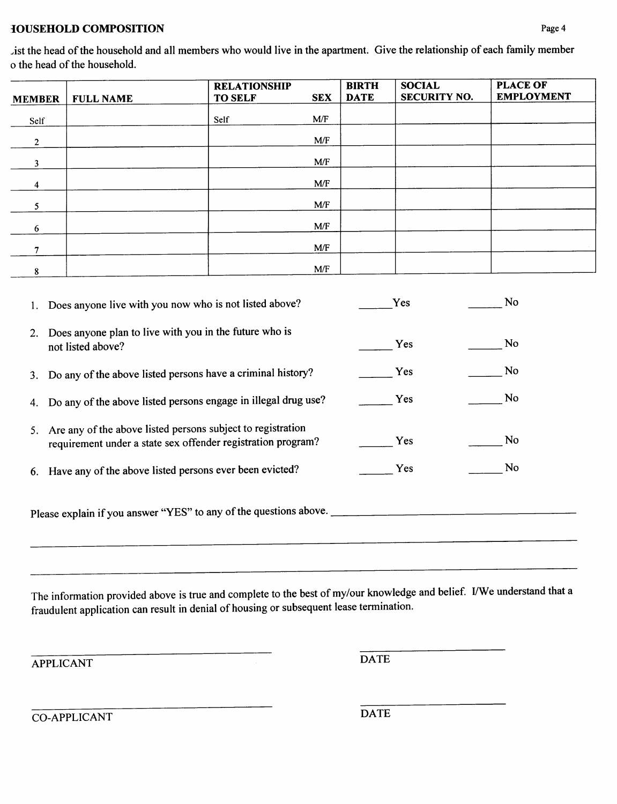## **IOUSEHOLD COMPOSITION**

list the head of the household and all members who would live in the apartment. Give the relationship of each family member o the head of the household.

| <b>MEMBER</b>  | <b>FULL NAME</b> | <b>RELATIONSHIP</b><br><b>TO SELF</b> | <b>SEX</b> | <b>BIRTH</b><br><b>DATE</b> | <b>SOCIAL</b><br><b>SECURITY NO.</b> | <b>PLACE OF</b><br><b>EMPLOYMENT</b> |
|----------------|------------------|---------------------------------------|------------|-----------------------------|--------------------------------------|--------------------------------------|
| Self           |                  | Self                                  | M/F        |                             |                                      |                                      |
| $\overline{2}$ |                  |                                       | M/F        |                             |                                      |                                      |
| 3              |                  |                                       | M/F        |                             |                                      |                                      |
| 4              |                  |                                       | M/F        |                             |                                      |                                      |
| 5.             |                  |                                       | M/F        |                             |                                      |                                      |
| 6              |                  |                                       | M/F        |                             |                                      |                                      |
| 7              |                  |                                       | M/F        |                             |                                      |                                      |
| 8              |                  |                                       | M/F        |                             |                                      |                                      |

|                                                                   | 1. Does anyone live with you now who is not listed above?                                                                   | Yes        | No |  |
|-------------------------------------------------------------------|-----------------------------------------------------------------------------------------------------------------------------|------------|----|--|
| 2.                                                                | Does anyone plan to live with you in the future who is<br>not listed above?                                                 | Yes        | No |  |
|                                                                   | 3. Do any of the above listed persons have a criminal history?                                                              | Yes        | No |  |
|                                                                   | 4. Do any of the above listed persons engage in illegal drug use?                                                           | Yes        | No |  |
| 5.                                                                | Are any of the above listed persons subject to registration<br>requirement under a state sex offender registration program? | Yes        | No |  |
|                                                                   | 6. Have any of the above listed persons ever been evicted?                                                                  | <b>Yes</b> | No |  |
| Please explain if you answer "YES" to any of the questions above. |                                                                                                                             |            |    |  |
|                                                                   |                                                                                                                             |            |    |  |

The information provided above is true and complete to the best of my/our knowledge and belief. VWe understand that <sup>a</sup> fraudulent application can result in denial ofhousing or subsequent lease termination.

APPLICANT DATE

CO-APPLICANT DATE